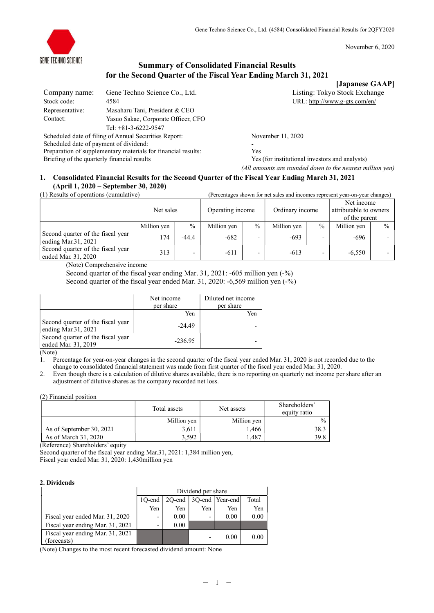



# Summary of Consolidated Financial Results for the Second Quarter of the Fiscal Year Ending March 31, 2021

[Japanese GAAP]

| Company name:   | Gene Techno Science Co., Ltd.                         | Listing: Tokyo Stock Exchange |
|-----------------|-------------------------------------------------------|-------------------------------|
| Stock code:     | 4584                                                  | URL: http://www.g-gts.com/en/ |
| Representative: | Masaharu Tani, President & CEO                        |                               |
| Contact:        | Yasuo Sakae, Corporate Officer, CFO                   |                               |
|                 | Tel: $+81-3-6222-9547$                                |                               |
|                 | Scheduled date of filing of Annual Securities Report: | November 11, 2020             |

Scheduled date of payment of dividend: Preparation of supplementary materials for financial results: Yes Briefing of the quarterly financial results Yes (for institutional investors and analysts)

(All amounts are rounded down to the nearest million yen)

## 1. Consolidated Financial Results for the Second Quarter of the Fiscal Year Ending March 31, 2021 (April 1, 2020 – September 30, 2020)

|  |  |  |  | (1) Results of operations (cumulative) |  |  |
|--|--|--|--|----------------------------------------|--|--|

| (1) Results of operations (cumulative)                   | (Percentages shown for net sales and incomes represent year-on-year changes) |                          |                  |                          |                 |      |                                                       |               |
|----------------------------------------------------------|------------------------------------------------------------------------------|--------------------------|------------------|--------------------------|-----------------|------|-------------------------------------------------------|---------------|
|                                                          | Net sales                                                                    |                          | Operating income |                          | Ordinary income |      | Net income<br>attributable to owners<br>of the parent |               |
|                                                          | Million yen                                                                  | $\%$                     | Million yen      | $\frac{0}{0}$            | Million yen     | $\%$ | Million yen                                           | $\frac{0}{0}$ |
| Second quarter of the fiscal year<br>ending Mar.31, 2021 | 174                                                                          | $-44.4$                  | $-682$           |                          | $-693$          |      | -696                                                  |               |
| Second quarter of the fiscal year<br>ended Mar. 31, 2020 | 313                                                                          | $\overline{\phantom{0}}$ | $-611$           | $\overline{\phantom{0}}$ | $-613$          |      | $-6,550$                                              |               |

(Note) Comprehensive income

Second quarter of the fiscal year ending Mar. 31, 2021: -605 million yen (-%)

Second quarter of the fiscal year ended Mar. 31, 2020: -6,569 million yen (-%)

|                                                          | Net income<br>per share | Diluted net income<br>per share |
|----------------------------------------------------------|-------------------------|---------------------------------|
|                                                          | Yen                     | Yen                             |
| Second quarter of the fiscal year<br>ending Mar.31, 2021 | $-24.49$                |                                 |
| Second quarter of the fiscal year<br>ended Mar. 31, 2019 | $-236.95$               |                                 |

(Note)

1. Percentage for year-on-year changes in the second quarter of the fiscal year ended Mar. 31, 2020 is not recorded due to the change to consolidated financial statement was made from first quarter of the fiscal year ended Mar. 31, 2020.

2. Even though there is a calculation of dilutive shares available, there is no reporting on quarterly net income per share after an adjustment of dilutive shares as the company recorded net loss.

(2) Financial position

|                          | Total assets | Net assets  | Shareholders'<br>equity ratio |
|--------------------------|--------------|-------------|-------------------------------|
|                          | Million yen  | Million yen | $\frac{0}{0}$                 |
| As of September 30, 2021 | 3,611        | 1.466       | 38.3                          |
| As of March 31, 2020     | 3.592        | .487        | 39.8                          |

(Reference) Shareholders' equity

Second quarter of the fiscal year ending Mar.31, 2021: 1,384 million yen,

Fiscal year ended Mar. 31, 2020: 1,430million yen

### 2. Dividends

|                                                 | Dividend per share       |                                       |     |      |      |  |  |
|-------------------------------------------------|--------------------------|---------------------------------------|-----|------|------|--|--|
|                                                 | 10-end                   | 3O-end   Year-end <br>Total<br>20-end |     |      |      |  |  |
|                                                 | Yen                      | Yen                                   | Yen | Yen  | Yen  |  |  |
| Fiscal year ended Mar. 31, 2020                 | $\overline{\phantom{0}}$ | 0.00                                  |     | 0.00 | 0.00 |  |  |
| Fiscal year ending Mar. 31, 2021                | $\overline{\phantom{0}}$ | 0.00                                  |     |      |      |  |  |
| Fiscal year ending Mar. 31, 2021<br>(forecasts) |                          |                                       |     | 0.00 | 0.00 |  |  |

(Note) Changes to the most recent forecasted dividend amount: None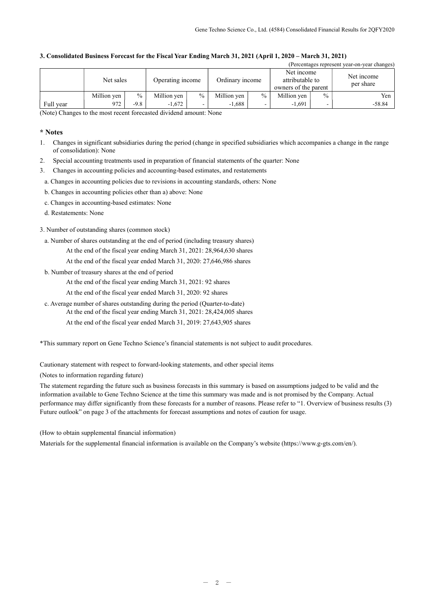| (Percentages represent year-on-year changes) |             |               |                  |      |                 |               |                                                       |               |                         |
|----------------------------------------------|-------------|---------------|------------------|------|-----------------|---------------|-------------------------------------------------------|---------------|-------------------------|
|                                              | Net sales   |               | Operating income |      | Ordinary income |               | Net income<br>attributable to<br>owners of the parent |               | Net income<br>per share |
|                                              | Million yen | $\frac{0}{0}$ | Million yen      | $\%$ | Million yen     | $\frac{0}{0}$ | Million yen                                           | $\frac{0}{0}$ | Yen                     |
| Full year                                    | 972         | $-9.8$        | $-1,672$         |      | $-1.688$        |               | $-1.691$                                              |               | $-58.84$                |

## 3. Consolidated Business Forecast for the Fiscal Year Ending March 31, 2021 (April 1, 2020 – March 31, 2021)

(Note) Changes to the most recent forecasted dividend amount: None

### \* Notes

- 1. Changes in significant subsidiaries during the period (change in specified subsidiaries which accompanies a change in the range of consolidation): None
- 2. Special accounting treatments used in preparation of financial statements of the quarter: None
- 3. Changes in accounting policies and accounting-based estimates, and restatements
- a. Changes in accounting policies due to revisions in accounting standards, others: None
- b. Changes in accounting policies other than a) above: None
- c. Changes in accounting-based estimates: None
- d. Restatements: None

### 3. Number of outstanding shares (common stock)

- a. Number of shares outstanding at the end of period (including treasury shares)
	- At the end of the fiscal year ending March 31, 2021: 28,964,630 shares
		- At the end of the fiscal year ended March 31, 2020: 27,646,986 shares
- b. Number of treasury shares at the end of period
	- At the end of the fiscal year ending March 31, 2021: 92 shares
	- At the end of the fiscal year ended March 31, 2020: 92 shares
- c. Average number of shares outstanding during the period (Quarter-to-date) At the end of the fiscal year ending March 31, 2021: 28,424,005 shares
	- At the end of the fiscal year ended March 31, 2019: 27,643,905 shares
	-

\*This summary report on Gene Techno Science's financial statements is not subject to audit procedures.

Cautionary statement with respect to forward-looking statements, and other special items

(Notes to information regarding future)

The statement regarding the future such as business forecasts in this summary is based on assumptions judged to be valid and the information available to Gene Techno Science at the time this summary was made and is not promised by the Company. Actual performance may differ significantly from these forecasts for a number of reasons. Please refer to "1. Overview of business results (3) Future outlook" on page 3 of the attachments for forecast assumptions and notes of caution for usage.

(How to obtain supplemental financial information)

Materials for the supplemental financial information is available on the Company's website (https://www.g-gts.com/en/).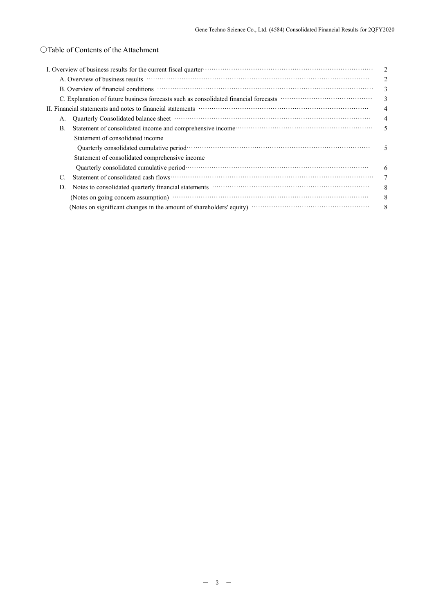# ○Table of Contents of the Attachment

| I. Overview of business results for the current fiscal quarter material control control of the current fiscal quarter material control of the current fiscal quarter material control of the current of the current of the cur       | 2              |
|--------------------------------------------------------------------------------------------------------------------------------------------------------------------------------------------------------------------------------------|----------------|
| A. Overview of business results with the contract of the contract of the set of the contract of the contract of the contract of the contract of the contract of the contract of the contract of the contract of the contract o       |                |
|                                                                                                                                                                                                                                      | 3              |
|                                                                                                                                                                                                                                      | 3              |
| II. Financial statements and notes to financial statements manufactured contain and statements and notes to financial statements                                                                                                     | $\overline{4}$ |
| Quarterly Consolidated balance sheet manufactured control of the state of the state of the state of the state of the state of the state of the state of the state of the state of the state of the state of the state of the s<br>А. |                |
| Statement of consolidated income and comprehensive income contracts and control of consolidated income and comprehensive income control of the statement of consolidated income and comprehensive income control.<br>В.              | 5              |
| Statement of consolidated income                                                                                                                                                                                                     |                |
|                                                                                                                                                                                                                                      | 5              |
| Statement of consolidated comprehensive income                                                                                                                                                                                       |                |
|                                                                                                                                                                                                                                      | 6              |
| C.                                                                                                                                                                                                                                   |                |
| Notes to consolidated quarterly financial statements manufactured construction of the statements of the statements of the statements of the statements of the statements of the statements of the statements of the statements<br>D. | 8              |
|                                                                                                                                                                                                                                      | 8              |
|                                                                                                                                                                                                                                      | 8              |
|                                                                                                                                                                                                                                      |                |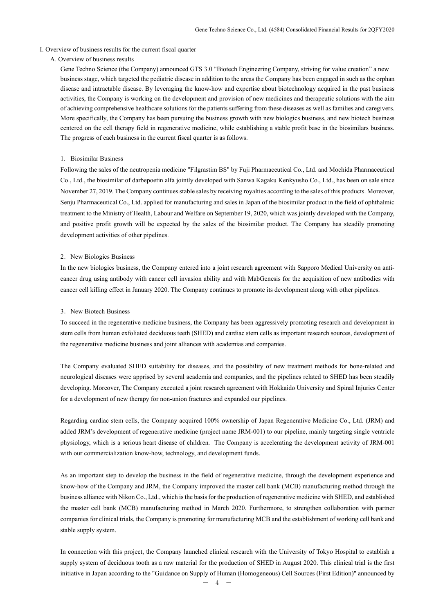#### I. Overview of business results for the current fiscal quarter

#### A. Overview of business results

Gene Techno Science (the Company) announced GTS 3.0 "Biotech Engineering Company, striving for value creation" a new business stage, which targeted the pediatric disease in addition to the areas the Company has been engaged in such as the orphan disease and intractable disease. By leveraging the know-how and expertise about biotechnology acquired in the past business activities, the Company is working on the development and provision of new medicines and therapeutic solutions with the aim of achieving comprehensive healthcare solutions for the patients suffering from these diseases as well as families and caregivers. More specifically, the Company has been pursuing the business growth with new biologics business, and new biotech business centered on the cell therapy field in regenerative medicine, while establishing a stable profit base in the biosimilars business. The progress of each business in the current fiscal quarter is as follows.

#### 1. Biosimilar Business

Following the sales of the neutropenia medicine "Filgrastim BS" by Fuji Pharmaceutical Co., Ltd. and Mochida Pharmaceutical Co., Ltd., the biosimilar of darbepoetin alfa jointly developed with Sanwa Kagaku Kenkyusho Co., Ltd., has been on sale since November 27, 2019. The Company continues stable sales by receiving royalties according to the sales of this products. Moreover, Senju Pharmaceutical Co., Ltd. applied for manufacturing and sales in Japan of the biosimilar product in the field of ophthalmic treatment to the Ministry of Health, Labour and Welfare on September 19, 2020, which was jointly developed with the Company, and positive profit growth will be expected by the sales of the biosimilar product. The Company has steadily promoting development activities of other pipelines.

#### 2. New Biologics Business

In the new biologics business, the Company entered into a joint research agreement with Sapporo Medical University on anticancer drug using antibody with cancer cell invasion ability and with MabGenesis for the acquisition of new antibodies with cancer cell killing effect in January 2020. The Company continues to promote its development along with other pipelines.

#### 3.New Biotech Business

To succeed in the regenerative medicine business, the Company has been aggressively promoting research and development in stem cells from human exfoliated deciduous teeth (SHED) and cardiac stem cells as important research sources, development of the regenerative medicine business and joint alliances with academias and companies.

The Company evaluated SHED suitability for diseases, and the possibility of new treatment methods for bone-related and neurological diseases were apprised by several academia and companies, and the pipelines related to SHED has been steadily developing. Moreover, The Company executed a joint research agreement with Hokkaido University and Spinal Injuries Center for a development of new therapy for non-union fractures and expanded our pipelines.

Regarding cardiac stem cells, the Company acquired 100% ownership of Japan Regenerative Medicine Co., Ltd. (JRM) and added JRM's development of regenerative medicine (project name JRM-001) to our pipeline, mainly targeting single ventricle physiology, which is a serious heart disease of children. The Company is accelerating the development activity of JRM-001 with our commercialization know-how, technology, and development funds.

As an important step to develop the business in the field of regenerative medicine, through the development experience and know-how of the Company and JRM, the Company improved the master cell bank (MCB) manufacturing method through the business alliance with Nikon Co., Ltd., which is the basis for the production of regenerative medicine with SHED, and established the master cell bank (MCB) manufacturing method in March 2020. Furthermore, to strengthen collaboration with partner companies for clinical trials, the Company is promoting for manufacturing MCB and the establishment of working cell bank and stable supply system.

In connection with this project, the Company launched clinical research with the University of Tokyo Hospital to establish a supply system of deciduous tooth as a raw material for the production of SHED in August 2020. This clinical trial is the first initiative in Japan according to the "Guidance on Supply of Human (Homogeneous) Cell Sources (First Edition)" announced by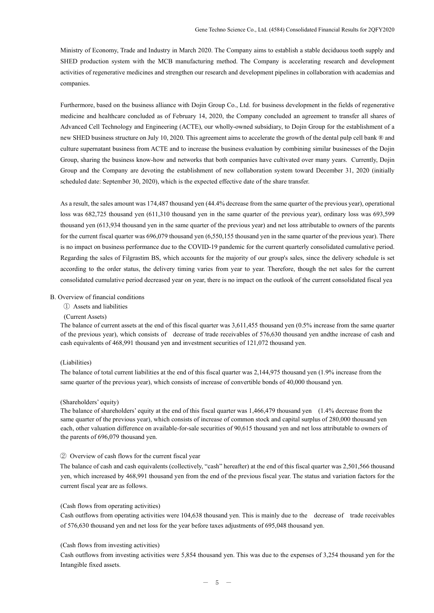Ministry of Economy, Trade and Industry in March 2020. The Company aims to establish a stable deciduous tooth supply and SHED production system with the MCB manufacturing method. The Company is accelerating research and development activities of regenerative medicines and strengthen our research and development pipelines in collaboration with academias and companies.

Furthermore, based on the business alliance with Dojin Group Co., Ltd. for business development in the fields of regenerative medicine and healthcare concluded as of February 14, 2020, the Company concluded an agreement to transfer all shares of Advanced Cell Technology and Engineering (ACTE), our wholly-owned subsidiary, to Dojin Group for the establishment of a new SHED business structure on July 10, 2020. This agreement aims to accelerate the growth of the dental pulp cell bank ® and culture supernatant business from ACTE and to increase the business evaluation by combining similar businesses of the Dojin Group, sharing the business know-how and networks that both companies have cultivated over many years. Currently, Dojin Group and the Company are devoting the establishment of new collaboration system toward December 31, 2020 (initially scheduled date: September 30, 2020), which is the expected effective date of the share transfer.

As a result, the sales amount was 174,487 thousand yen (44.4% decrease from the same quarter of the previous year), operational loss was 682,725 thousand yen (611,310 thousand yen in the same quarter of the previous year), ordinary loss was 693,599 thousand yen (613,934 thousand yen in the same quarter of the previous year) and net loss attributable to owners of the parents for the current fiscal quarter was 696,079 thousand yen (6,550,155 thousand yen in the same quarter of the previous year). There is no impact on business performance due to the COVID-19 pandemic for the current quarterly consolidated cumulative period. Regarding the sales of Filgrastim BS, which accounts for the majority of our group's sales, since the delivery schedule is set according to the order status, the delivery timing varies from year to year. Therefore, though the net sales for the current consolidated cumulative period decreased year on year, there is no impact on the outlook of the current consolidated fiscal yea

#### B. Overview of financial conditions

- ① Assets and liabilities
- (Current Assets)

The balance of current assets at the end of this fiscal quarter was 3,611,455 thousand yen (0.5% increase from the same quarter of the previous year), which consists of decrease of trade receivables of 576,630 thousand yen andthe increase of cash and cash equivalents of 468,991 thousand yen and investment securities of 121,072 thousand yen.

### (Liabilities)

The balance of total current liabilities at the end of this fiscal quarter was 2,144,975 thousand yen (1.9% increase from the same quarter of the previous year), which consists of increase of convertible bonds of 40,000 thousand yen.

#### (Shareholders' equity)

The balance of shareholders' equity at the end of this fiscal quarter was 1,466,479 thousand yen (1.4% decrease from the same quarter of the previous year), which consists of increase of common stock and capital surplus of 280,000 thousand yen each, other valuation difference on available-for-sale securities of 90,615 thousand yen and net loss attributable to owners of the parents of 696,079 thousand yen.

#### ② Overview of cash flows for the current fiscal year

 The balance of cash and cash equivalents (collectively, "cash" hereafter) at the end of this fiscal quarter was 2,501,566 thousand yen, which increased by 468,991 thousand yen from the end of the previous fiscal year. The status and variation factors for the current fiscal year are as follows.

#### (Cash flows from operating activities)

Cash outflows from operating activities were 104,638 thousand yen. This is mainly due to the decrease of trade receivables of 576,630 thousand yen and net loss for the year before taxes adjustments of 695,048 thousand yen.

### (Cash flows from investing activities)

Cash outflows from investing activities were 5,854 thousand yen. This was due to the expenses of 3,254 thousand yen for the Intangible fixed assets.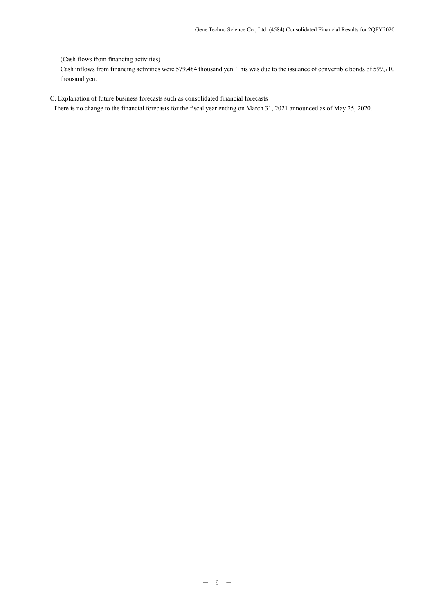### (Cash flows from financing activities)

Cash inflows from financing activities were 579,484 thousand yen. This was due to the issuance of convertible bonds of 599,710 thousand yen.

C. Explanation of future business forecasts such as consolidated financial forecasts

There is no change to the financial forecasts for the fiscal year ending on March 31, 2021 announced as of May 25, 2020.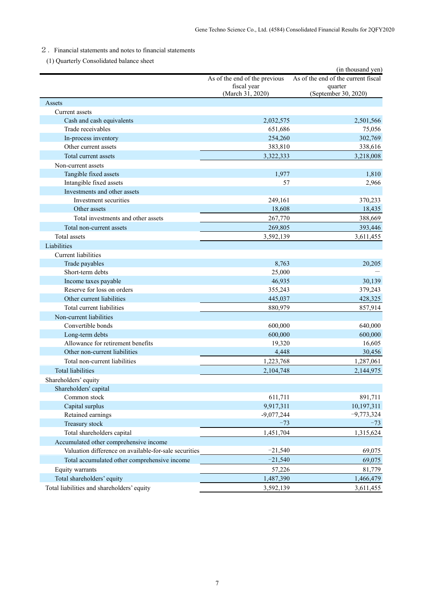# 2.Financial statements and notes to financial statements

(1) Quarterly Consolidated balance sheet

|                                                       |                                                                  | (in thousand yen)                                                      |
|-------------------------------------------------------|------------------------------------------------------------------|------------------------------------------------------------------------|
|                                                       | As of the end of the previous<br>fiscal year<br>(March 31, 2020) | As of the end of the current fiscal<br>quarter<br>(September 30, 2020) |
| Assets                                                |                                                                  |                                                                        |
| Current assets                                        |                                                                  |                                                                        |
| Cash and cash equivalents                             | 2,032,575                                                        | 2,501,566                                                              |
| Trade receivables                                     | 651,686                                                          | 75,056                                                                 |
| In-process inventory                                  | 254,260                                                          | 302,769                                                                |
| Other current assets                                  | 383,810                                                          | 338,616                                                                |
| Total current assets                                  | 3,322,333                                                        | 3,218,008                                                              |
| Non-current assets                                    |                                                                  |                                                                        |
| Tangible fixed assets                                 | 1,977                                                            | 1,810                                                                  |
| Intangible fixed assets                               | 57                                                               | 2,966                                                                  |
| Investments and other assets                          |                                                                  |                                                                        |
| Investment securities                                 | 249,161                                                          | 370,233                                                                |
| Other assets                                          | 18,608                                                           | 18,435                                                                 |
| Total investments and other assets                    | 267,770                                                          | 388,669                                                                |
| Total non-current assets                              | 269,805                                                          | 393,446                                                                |
| <b>Total</b> assets                                   | 3,592,139                                                        | 3,611,455                                                              |
| Liabilities                                           |                                                                  |                                                                        |
| <b>Current</b> liabilities                            |                                                                  |                                                                        |
| Trade payables                                        | 8,763                                                            | 20,205                                                                 |
| Short-term debts                                      | 25,000                                                           |                                                                        |
| Income taxes payable                                  | 46,935                                                           | 30,139                                                                 |
| Reserve for loss on orders                            | 355,243                                                          | 379,243                                                                |
| Other current liabilities                             | 445,037                                                          | 428,325                                                                |
| Total current liabilities                             | 880,979                                                          | 857,914                                                                |
| Non-current liabilities                               |                                                                  |                                                                        |
| Convertible bonds                                     | 600,000                                                          | 640,000                                                                |
| Long-term debts                                       | 600,000                                                          | 600,000                                                                |
| Allowance for retirement benefits                     | 19,320                                                           | 16,605                                                                 |
| Other non-current liabilities                         | 4,448                                                            | 30,456                                                                 |
| Total non-current liabilities                         | 1,223,768                                                        | 1,287,061                                                              |
| <b>Total liabilities</b>                              | 2.104.748                                                        | 2,144,975                                                              |
| Shareholders' equity                                  |                                                                  |                                                                        |
| Shareholders' capital                                 |                                                                  |                                                                        |
| Common stock                                          | 611,711                                                          | 891,711                                                                |
| Capital surplus                                       | 9,917,311                                                        | 10,197,311                                                             |
| Retained earnings                                     | $-9,077,244$                                                     | $-9,773,324$                                                           |
| Treasury stock                                        | $-73$                                                            | $-73$                                                                  |
| Total shareholders capital                            | 1,451,704                                                        | 1,315,624                                                              |
| Accumulated other comprehensive income                |                                                                  |                                                                        |
| Valuation difference on available-for-sale securities | $-21,540$                                                        | 69,075                                                                 |
| Total accumulated other comprehensive income          | $-21,540$                                                        | 69,075                                                                 |
| Equity warrants                                       | 57,226                                                           | 81,779                                                                 |
| Total shareholders' equity                            | 1,487,390                                                        | 1,466,479                                                              |
| Total liabilities and shareholders' equity            | 3,592,139                                                        | 3,611,455                                                              |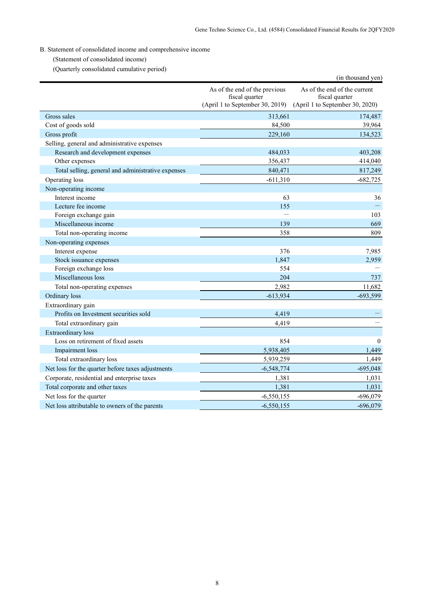# B. Statement of consolidated income and comprehensive income

(Statement of consolidated income)

(Quarterly consolidated cumulative period)

| (Quarterry consondated cumulative period)          |                                                                                    | (in thousand yen)                                                                 |
|----------------------------------------------------|------------------------------------------------------------------------------------|-----------------------------------------------------------------------------------|
|                                                    | As of the end of the previous<br>fiscal quarter<br>(April 1 to September 30, 2019) | As of the end of the current<br>fiscal quarter<br>(April 1 to September 30, 2020) |
| Gross sales                                        | 313,661                                                                            | 174,487                                                                           |
| Cost of goods sold                                 | 84,500                                                                             | 39,964                                                                            |
| Gross profit                                       | 229,160                                                                            | 134,523                                                                           |
| Selling, general and administrative expenses       |                                                                                    |                                                                                   |
| Research and development expenses                  | 484,033                                                                            | 403,208                                                                           |
| Other expenses                                     | 356,437                                                                            | 414,040                                                                           |
| Total selling, general and administrative expenses | 840,471                                                                            | 817,249                                                                           |
| Operating loss                                     | $-611,310$                                                                         | $-682,725$                                                                        |
| Non-operating income                               |                                                                                    |                                                                                   |
| Interest income                                    | 63                                                                                 | 36                                                                                |
| Lecture fee income                                 | 155                                                                                |                                                                                   |
| Foreign exchange gain                              |                                                                                    | 103                                                                               |
| Miscellaneous income                               | 139                                                                                | 669                                                                               |
| Total non-operating income                         | 358                                                                                | 809                                                                               |
| Non-operating expenses                             |                                                                                    |                                                                                   |
| Interest expense                                   | 376                                                                                | 7,985                                                                             |
| Stock issuance expenses                            | 1.847                                                                              | 2,959                                                                             |
| Foreign exchange loss                              | 554                                                                                |                                                                                   |
| Miscellaneous loss                                 | 204                                                                                | 737                                                                               |
| Total non-operating expenses                       | 2,982                                                                              | 11,682                                                                            |
| Ordinary loss                                      | $-613,934$                                                                         | $-693,599$                                                                        |
| Extraordinary gain                                 |                                                                                    |                                                                                   |
| Profits on Investment securities sold              | 4,419                                                                              |                                                                                   |
| Total extraordinary gain                           | 4,419                                                                              |                                                                                   |
| <b>Extraordinary</b> loss                          |                                                                                    |                                                                                   |
| Loss on retirement of fixed assets                 | 854                                                                                | $\theta$                                                                          |
| Impairment loss                                    | 5,938,405                                                                          | 1,449                                                                             |
| Total extraordinary loss                           | 5,939,259                                                                          | 1,449                                                                             |
| Net loss for the quarter before taxes adjustments  | $-6,548,774$                                                                       | $-695,048$                                                                        |
| Corporate, residential and enterprise taxes        | 1,381                                                                              | 1,031                                                                             |
| Total corporate and other taxes                    | 1,381                                                                              | 1,031                                                                             |
| Net loss for the quarter                           | $-6,550,155$                                                                       | $-696,079$                                                                        |
| Net loss attributable to owners of the parents     | $-6,550,155$                                                                       | $-696,079$                                                                        |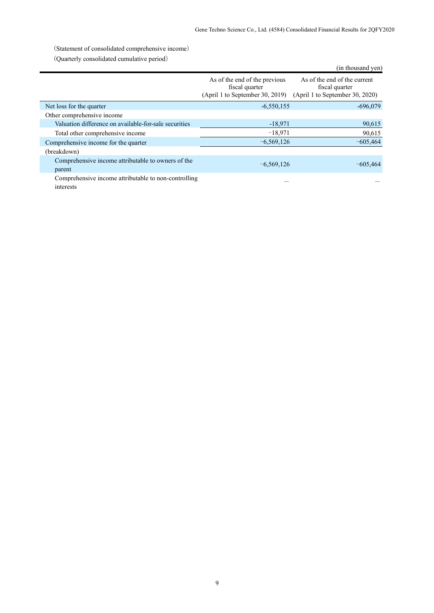(Statement of consolidated comprehensive income)

(Quarterly consolidated cumulative period)

| $\sqrt{2}$ antion $\gamma$ consolidated cumulative period.        |                                                                                    | (in thousand yen)                                                                 |
|-------------------------------------------------------------------|------------------------------------------------------------------------------------|-----------------------------------------------------------------------------------|
|                                                                   | As of the end of the previous<br>fiscal quarter<br>(April 1 to September 30, 2019) | As of the end of the current<br>fiscal quarter<br>(April 1 to September 30, 2020) |
| Net loss for the quarter                                          | $-6,550,155$                                                                       | $-696,079$                                                                        |
| Other comprehensive income                                        |                                                                                    |                                                                                   |
| Valuation difference on available-for-sale securities             | $-18,971$                                                                          | 90,615                                                                            |
| Total other comprehensive income                                  | $-18,971$                                                                          | 90,615                                                                            |
| Comprehensive income for the quarter                              | $-6,569,126$                                                                       | $-605,464$                                                                        |
| (breakdown)                                                       |                                                                                    |                                                                                   |
| Comprehensive income attributable to owners of the<br>parent      | $-6,569,126$                                                                       | $-605,464$                                                                        |
| Comprehensive income attributable to non-controlling<br>interests |                                                                                    |                                                                                   |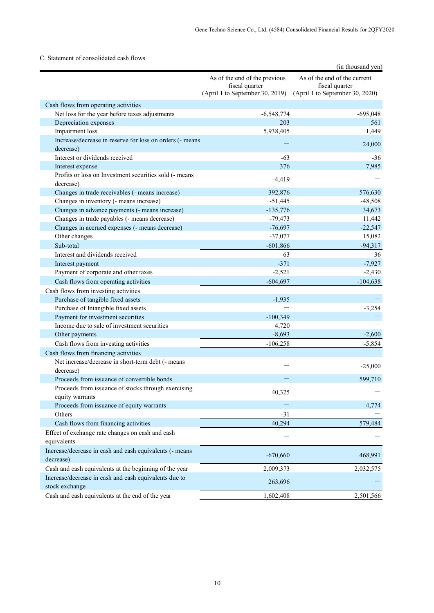# C. Statement of consolidated cash flows

|                                                                       |                                                                                    | (in thousand yen)                                                                 |
|-----------------------------------------------------------------------|------------------------------------------------------------------------------------|-----------------------------------------------------------------------------------|
|                                                                       | As of the end of the previous<br>fiscal quarter<br>(April 1 to September 30, 2019) | As of the end of the current<br>fiscal quarter<br>(April 1 to September 30, 2020) |
| Cash flows from operating activities                                  |                                                                                    |                                                                                   |
| Net loss for the year before taxes adjustments                        | $-6,548,774$                                                                       | $-695,048$                                                                        |
| Depreciation expenses                                                 | 203                                                                                | 561                                                                               |
| Impairment loss                                                       | 5,938,405                                                                          | 1,449                                                                             |
| Increase/decrease in reserve for loss on orders (- means<br>decrease) |                                                                                    | 24,000                                                                            |
| Interest or dividends received                                        | $-63$                                                                              | $-36$                                                                             |
| Interest expense                                                      | 376                                                                                | 7,985                                                                             |
| Profits or loss on Investment securities sold (- means<br>decrease)   | $-4,419$                                                                           |                                                                                   |
| Changes in trade receivables (- means increase)                       | 392,876                                                                            | 576,630                                                                           |
| Changes in inventory (- means increase)                               | $-51,445$                                                                          | $-48,508$                                                                         |
| Changes in advance payments (- means increase)                        | $-135,776$                                                                         | 34,673                                                                            |
| Changes in trade payables (- means decrease)                          | $-79,473$                                                                          | 11,442                                                                            |
| Changes in accrued expenses (- means decrease)                        | $-76,697$                                                                          | $-22,547$                                                                         |
| Other changes                                                         | $-37,077$                                                                          | 15,082                                                                            |
| Sub-total                                                             | $-601,866$                                                                         | $-94,317$                                                                         |
| Interest and dividends received                                       | 63                                                                                 | 36                                                                                |
| Interest payment                                                      | $-371$                                                                             | $-7,927$                                                                          |
| Payment of corporate and other taxes                                  | $-2,521$                                                                           | $-2,430$                                                                          |
| Cash flows from operating activities                                  | $-604,697$                                                                         | $-104,638$                                                                        |
| Cash flows from investing activities                                  |                                                                                    |                                                                                   |
| Purchase of tangible fixed assets                                     | $-1,935$                                                                           |                                                                                   |
| Purchase of Intangible fixed assets                                   |                                                                                    | $-3,254$                                                                          |
| Payment for investment securities                                     | $-100,349$                                                                         |                                                                                   |
| Income due to sale of investment securities                           | 4,720                                                                              |                                                                                   |
| Other payments                                                        | $-8,693$                                                                           | $-2,600$                                                                          |
| Cash flows from investing activities                                  | $-106,258$                                                                         | $-5,854$                                                                          |
| Cash flows from financing activities                                  |                                                                                    |                                                                                   |
| Net increase/decrease in short-term debt (- means<br>decrease)        |                                                                                    | $-25,000$                                                                         |
| Proceeds from issuance of convertible bonds                           |                                                                                    | 599,710                                                                           |
| Proceeds from issuance of stocks through exercising                   |                                                                                    |                                                                                   |
| equity warrants                                                       | 40,325                                                                             |                                                                                   |
| Proceeds from issuance of equity warrants                             |                                                                                    | 4,774                                                                             |
| Others                                                                | $-31$                                                                              |                                                                                   |
| Cash flows from financing activities                                  | 40,294                                                                             | 579,484                                                                           |
| Effect of exchange rate changes on cash and cash<br>equivalents       |                                                                                    |                                                                                   |
| Increase/decrease in cash and cash equivalents (- means               |                                                                                    |                                                                                   |
| decrease)                                                             | $-670,660$                                                                         | 468,991                                                                           |
| Cash and cash equivalents at the beginning of the year                | 2,009,373                                                                          | 2,032,575                                                                         |
| Increase/decrease in cash and cash equivalents due to                 |                                                                                    |                                                                                   |
| stock exchange                                                        | 263,696                                                                            |                                                                                   |
| Cash and cash equivalents at the end of the year                      | 1,602,408                                                                          | 2,501,566                                                                         |